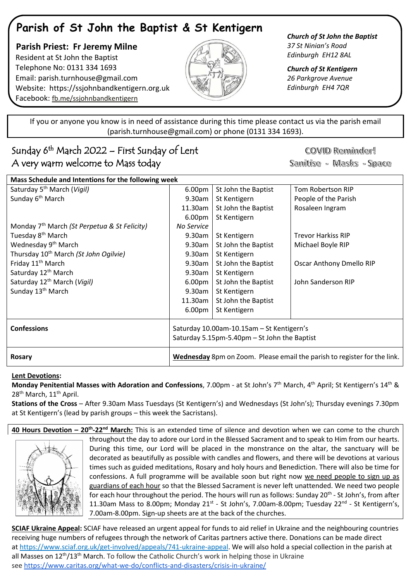# **Parish of St John the Baptist & St Kentigern**

 **Parish Priest: Fr Jeremy Milne** Resident at St John the Baptist Telephone No: 0131 334 1693 Email: [parish.turnhouse@gmail.com](mailto:parish.turnhouse@gmail.com)  Website: [https://ssjohnbandkentigern.org.uk](https://ssjohnbandkentigern.org.uk/) Facebook: [fb.me/ssjohnbandkentigern](https://fb.me/ssjohnbandkentigern)



*Church of St John the Baptist 37 St Ninian's Road Edinburgh EH12 8AL*

*Church of St Kentigern 26 Parkgrove Avenue Edinburgh EH4 7QR*

֡֡֡֡֡ If you or anyone you know is in need of assistance during this time please contact us via the parish email (parish.turnhouse@gmail.com) or phone (0131 334 1693). I

# Sunday 6<sup>th</sup> March 2022 – First Sunday of Lent A very warm welcome to Mass today

COVID Reminder! Sanitise - Masks - Space

| Mass Schedule and Intentions for the following week      |                                                                          |                     |                                 |
|----------------------------------------------------------|--------------------------------------------------------------------------|---------------------|---------------------------------|
| Saturday 5 <sup>th</sup> March (Vigil)                   | 6.00 <sub>pm</sub>                                                       | St John the Baptist | Tom Robertson RIP               |
| Sunday 6 <sup>th</sup> March                             | $9.30$ am                                                                | St Kentigern        | People of the Parish            |
|                                                          | 11.30am                                                                  | St John the Baptist | Rosaleen Ingram                 |
|                                                          | 6.00 <sub>pm</sub>                                                       | St Kentigern        |                                 |
| Monday 7 <sup>th</sup> March (St Perpetua & St Felicity) | No Service                                                               |                     |                                 |
| Tuesday 8 <sup>th</sup> March                            | 9.30am                                                                   | St Kentigern        | <b>Trevor Harkiss RIP</b>       |
| Wednesday 9 <sup>th</sup> March                          | 9.30am                                                                   | St John the Baptist | Michael Boyle RIP               |
| Thursday 10 <sup>th</sup> March (St John Ogilvie)        | $9.30$ am                                                                | St Kentigern        |                                 |
| Friday 11 <sup>th</sup> March                            | 9.30am                                                                   | St John the Baptist | <b>Oscar Anthony Dmello RIP</b> |
| Saturday 12 <sup>th</sup> March                          | $9.30$ am                                                                | St Kentigern        |                                 |
| Saturday 12 <sup>th</sup> March (Vigil)                  | 6.00pm                                                                   | St John the Baptist | John Sanderson RIP              |
| Sunday 13 <sup>th</sup> March                            | 9.30am                                                                   | St Kentigern        |                                 |
|                                                          | 11.30am                                                                  | St John the Baptist |                                 |
|                                                          | 6.00 <sub>pm</sub>                                                       | St Kentigern        |                                 |
| <b>Confessions</b>                                       | Saturday 10.00am-10.15am - St Kentigern's                                |                     |                                 |
|                                                          | Saturday 5.15pm-5.40pm - St John the Baptist                             |                     |                                 |
| Rosary                                                   | Wednesday 8pm on Zoom. Please email the parish to register for the link. |                     |                                 |

## **Lent Devotions:**

**Monday Penitential Masses with Adoration and Confessions**, 7.00pm - at St John's 7<sup>th</sup> March, 4<sup>th</sup> April; St Kentigern's 14<sup>th</sup> & 28<sup>th</sup> March, 11<sup>th</sup> April.

**Stations of the Cross** – After 9.30am Mass Tuesdays (St Kentigern's) and Wednesdays (St John's); Thursday evenings 7.30pm at St Kentigern's (lead by parish groups – this week the Sacristans).

**40 Hours Devotion – 20th -22nd March:** This is an extended time of silence and devotion when we can come to the church throughout the day to adore our Lord in the Blessed Sacrament and to speak to Him from our hearts. During this time, our Lord will be placed in the monstrance on the altar, the sanctuary will be decorated as beautifully as possible with candles and flowers, and there will be devotions at various times such as guided meditations, Rosary and holy hours and Benediction. There will also be time for confessions. A full programme will be available soon but right now we need people to sign up as guardians of each hour so that the Blessed Sacrament is never left unattended. We need two people for each hour throughout the period. The hours will run as follows: Sunday 20<sup>th</sup> - St John's, from after 11.30am Mass to 8.00pm; Monday 21<sup>st</sup> - St John's, 7.00am-8.00pm; Tuesday 22<sup>nd</sup> - St Kentigern's, 7.00am-8.00pm. Sign-up sheets are at the back of the churches.

**SCIAF Ukraine Appeal:** SCIAF have released an urgent appeal for funds to aid relief in Ukraine and the neighbouring countries receiving huge numbers of refugees through the network of Caritas partners active there. Donations can be made direct at [https://www.sciaf.org.uk/get-involved/appeals/741-ukraine-appeal.](https://www.sciaf.org.uk/get-involved/appeals/741-ukraine-appeal) We will also hold a special collection in the parish at all Masses on 12<sup>th</sup>/13<sup>th</sup> March. To follow the Catholic Church's work in helping those in Ukraine see [https://www.caritas.org/what-we-do/conflicts-and-disasters/crisis-in-ukraine/](https://nam12.safelinks.protection.outlook.com/?url=https%3A%2F%2Fwww.caritas.org%2Fwhat-we-do%2Fconflicts-and-disasters%2Fcrisis-in-ukraine%2F&data=04%7C01%7C%7C352a30c96a4a46650d5808d9fb80122d%7C84df9e7fe9f640afb435aaaaaaaaaaaa%7C1%7C0%7C637817349738539469%7CUnknown%7CTWFpbGZsb3d8eyJWIjoiMC4wLjAwMDAiLCJQIjoiV2luMzIiLCJBTiI6Ik1haWwiLCJXVCI6Mn0%3D%7C3000&sdata=fmT5PEZ9WoUjITBC6xspQylkjxiq2KiaT51ddMlF5W8%3D&reserved=0)